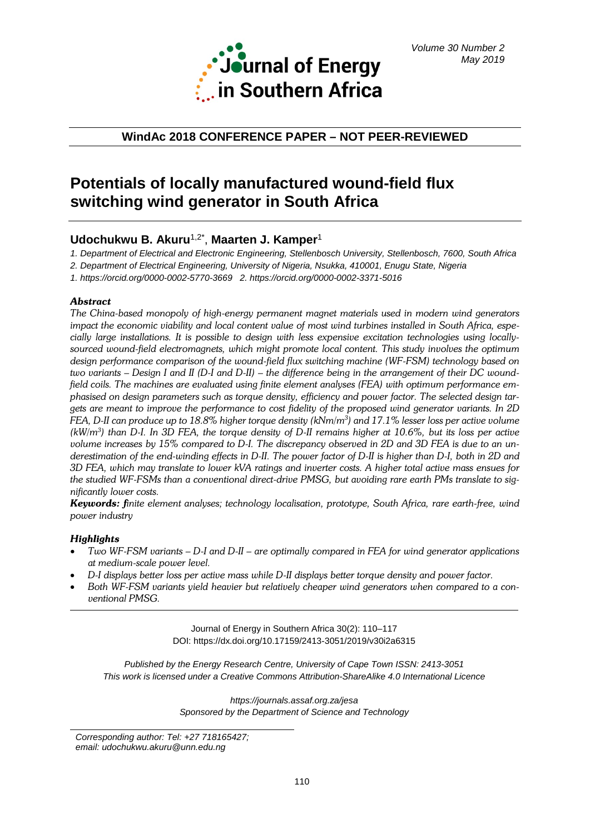

## **WindAc 2018 CONFERENCE PAPER – NOT PEER-REVIEWED**

# **Potentials of locally manufactured wound-field flux switching wind generator in South Africa**

# **Udochukwu B. Akuru**1,2\* , **Maarten J. Kamper**<sup>1</sup>

*1. Department of Electrical and Electronic Engineering, Stellenbosch University, Stellenbosch, 7600, South Africa* 

*2. Department of Electrical Engineering, University of Nigeria, Nsukka, 410001, Enugu State, Nigeria*

*1. <https://orcid.org/0000-0002-5770-3669>2.<https://orcid.org/0000-0002-3371-5016>*

### *Abstract*

*The China-based monopoly of high-energy permanent magnet materials used in modern wind generators impact the economic viability and local content value of most wind turbines installed in South Africa, especially large installations. It is possible to design with less expensive excitation technologies using locallysourced wound-field electromagnets, which might promote local content. This study involves the optimum design performance comparison of the wound-field flux switching machine (WF-FSM) technology based on two variants – Design I and II (D-I and D-II) – the difference being in the arrangement of their DC woundfield coils. The machines are evaluated using finite element analyses (FEA) with optimum performance emphasised on design parameters such as torque density, efficiency and power factor. The selected design targets are meant to improve the performance to cost fidelity of the proposed wind generator variants. In 2D FEA, D-II can produce up to 18.8% higher torque density (kNm/m3 ) and 17.1% lesser loss per active volume*   $(kW/m^3)$  than D-I. In 3D FEA, the torque density of D-II remains higher at 10.6%, but its loss per active *volume increases by 15% compared to D-I. The discrepancy observed in 2D and 3D FEA is due to an underestimation of the end-winding effects in D-II. The power factor of D-II is higher than D-I, both in 2D and 3D FEA, which may translate to lower kVA ratings and inverter costs. A higher total active mass ensues for the studied WF-FSMs than a conventional direct-drive PMSG, but avoiding rare earth PMs translate to significantly lower costs.* 

*Keywords: finite element analyses; technology localisation, prototype, South Africa, rare earth-free, wind power industry*

### *Highlights*

- *Two WF-FSM variants – D-I and D-II – are optimally compared in FEA for wind generator applications at medium-scale power level.*
- *D-I displays better loss per active mass while D-II displays better torque density and power factor.*
- *Both WF-FSM variants yield heavier but relatively cheaper wind generators when compared to a conventional PMSG.*

Journal of Energy in Southern Africa 30(2): 110–117 DOI: https://dx.doi.org/10.17159/2413-3051/2019/v30i2a6315

*Published by the Energy Research Centre, University of Cape Town ISSN: 2413-3051 This work is licensed under a Creative Commons Attribution-ShareAlike 4.0 International Licence*

> *https://journals.assaf.org.za/jesa Sponsored by the Department of Science and Technology*

*Corresponding author: Tel: +27 718165427; email: udochukwu.akuru@unn.edu.ng*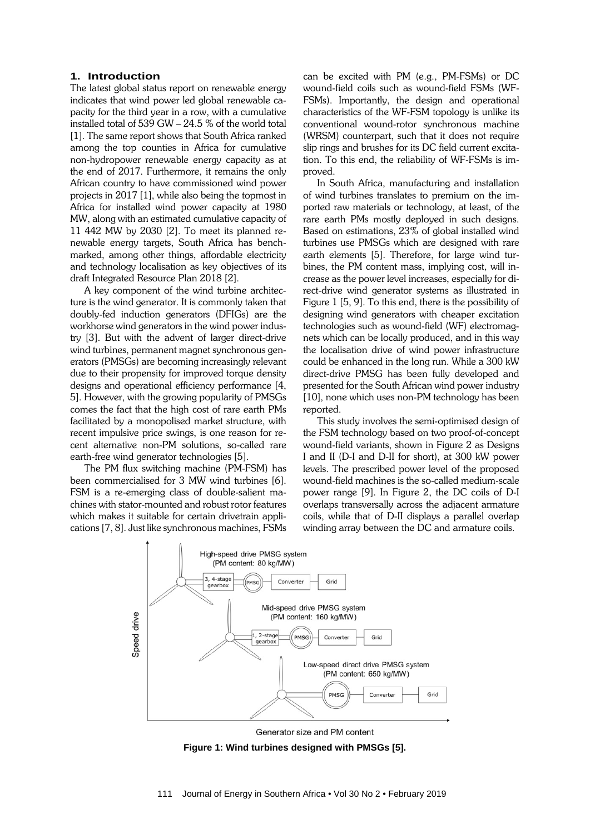#### **1. Introduction**

The latest global status report on renewable energy indicates that wind power led global renewable capacity for the third year in a row, with a cumulative installed total of 539 GW – 24.5 % of the world total [1]. The same report shows that South Africa ranked among the top counties in Africa for cumulative non-hydropower renewable energy capacity as at the end of 2017. Furthermore, it remains the only African country to have commissioned wind power projects in 2017 [1], while also being the topmost in Africa for installed wind power capacity at 1980 MW, along with an estimated cumulative capacity of 11 442 MW by 2030 [2]. To meet its planned renewable energy targets, South Africa has benchmarked, among other things, affordable electricity and technology localisation as key objectives of its draft Integrated Resource Plan 2018 [2].

A key component of the wind turbine architecture is the wind generator. It is commonly taken that doubly-fed induction generators (DFIGs) are the workhorse wind generators in the wind power industry [3]. But with the advent of larger direct-drive wind turbines, permanent magnet synchronous generators (PMSGs) are becoming increasingly relevant due to their propensity for improved torque density designs and operational efficiency performance [4, 5]. However, with the growing popularity of PMSGs comes the fact that the high cost of rare earth PMs facilitated by a monopolised market structure, with recent impulsive price swings, is one reason for recent alternative non-PM solutions, so-called rare earth-free wind generator technologies [5].

The PM flux switching machine (PM-FSM) has been commercialised for 3 MW wind turbines [6]. FSM is a re-emerging class of double-salient machines with stator-mounted and robust rotor features which makes it suitable for certain drivetrain applications [7, 8]. Just like synchronous machines, FSMs can be excited with PM (e.g., PM-FSMs) or DC wound-field coils such as wound-field FSMs (WF-FSMs). Importantly, the design and operational characteristics of the WF-FSM topology is unlike its conventional wound-rotor synchronous machine (WRSM) counterpart, such that it does not require slip rings and brushes for its DC field current excitation. To this end, the reliability of WF-FSMs is improved.

In South Africa, manufacturing and installation of wind turbines translates to premium on the imported raw materials or technology, at least, of the rare earth PMs mostly deployed in such designs. Based on estimations, 23% of global installed wind turbines use PMSGs which are designed with rare earth elements [5]. Therefore, for large wind turbines, the PM content mass, implying cost, will increase as the power level increases, especially for direct-drive wind generator systems as illustrated in Figure 1 [5, 9]. To this end, there is the possibility of designing wind generators with cheaper excitation technologies such as wound-field (WF) electromagnets which can be locally produced, and in this way the localisation drive of wind power infrastructure could be enhanced in the long run. While a 300 kW direct-drive PMSG has been fully developed and presented for the South African wind power industry [10], none which uses non-PM technology has been reported.

This study involves the semi-optimised design of the FSM technology based on two proof-of-concept wound-field variants, shown in Figure 2 as Designs I and II (D-I and D-II for short), at 300 kW power levels. The prescribed power level of the proposed wound-field machines is the so-called medium-scale power range [9]. In Figure 2, the DC coils of D-I overlaps transversally across the adjacent armature coils, while that of D-II displays a parallel overlap winding array between the DC and armature coils.



Generator size and PM content

**Figure 1: Wind turbines designed with PMSGs [5].**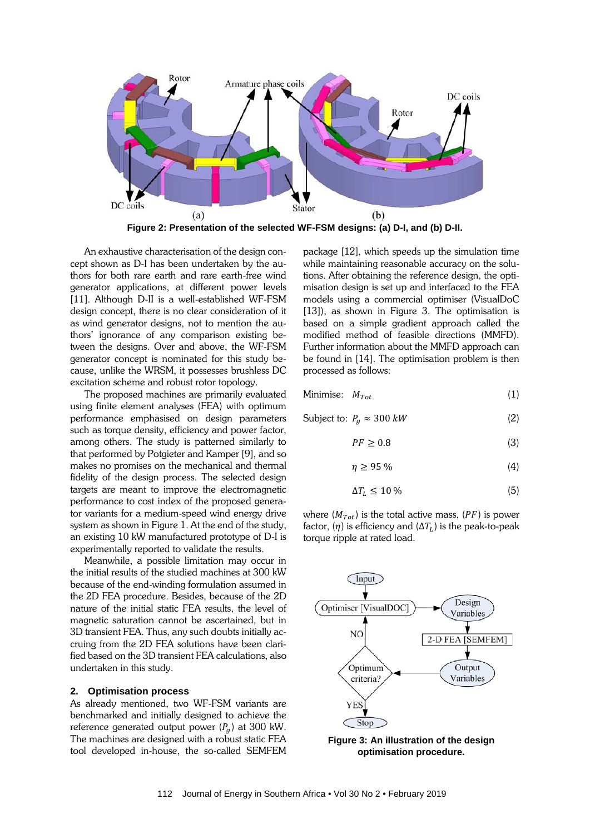

**Figure 2: Presentation of the selected WF-FSM designs: (a) D-I, and (b) D-II.**

An exhaustive characterisation of the design concept shown as D-I has been undertaken by the authors for both rare earth and rare earth-free wind generator applications, at different power levels [11]. Although D-II is a well-established WF-FSM design concept, there is no clear consideration of it as wind generator designs, not to mention the authors' ignorance of any comparison existing between the designs. Over and above, the WF-FSM generator concept is nominated for this study because, unlike the WRSM, it possesses brushless DC excitation scheme and robust rotor topology.

The proposed machines are primarily evaluated using finite element analyses (FEA) with optimum performance emphasised on design parameters such as torque density, efficiency and power factor, among others. The study is patterned similarly to that performed by Potgieter and Kamper [9], and so makes no promises on the mechanical and thermal fidelity of the design process. The selected design targets are meant to improve the electromagnetic performance to cost index of the proposed generator variants for a medium-speed wind energy drive system as shown in Figure 1. At the end of the study, an existing 10 kW manufactured prototype of D-I is experimentally reported to validate the results.

Meanwhile, a possible limitation may occur in the initial results of the studied machines at 300 kW because of the end-winding formulation assumed in the 2D FEA procedure. Besides, because of the 2D nature of the initial static FEA results, the level of magnetic saturation cannot be ascertained, but in 3D transient FEA. Thus, any such doubts initially accruing from the 2D FEA solutions have been clarified based on the 3D transient FEA calculations, also undertaken in this study.

#### **2. Optimisation process**

As already mentioned, two WF-FSM variants are benchmarked and initially designed to achieve the reference generated output power  $(P_a)$  at 300 kW. The machines are designed with a robust static FEA tool developed in-house, the so-called SEMFEM

package [12], which speeds up the simulation time while maintaining reasonable accuracy on the solutions. After obtaining the reference design, the optimisation design is set up and interfaced to the FEA models using a commercial optimiser (VisualDoC [13]), as shown in Figure 3. The optimisation is based on a simple gradient approach called the modified method of feasible directions (MMFD). Further information about the MMFD approach can be found in [14]. The optimisation problem is then processed as follows:

Minimise: 
$$
M_{Tot}
$$
 (1)

Subject to:  $P_a \approx 300 \, kW$  (2)

$$
PF \ge 0.8\tag{3}
$$

$$
\eta \ge 95\,\%
$$

$$
\Delta T_L \le 10\,\% \tag{5}
$$

where  $(M_{Tot})$  is the total active mass,  $(PF)$  is power factor,  $(\eta)$  is efficiency and  $(\Delta T_L)$  is the peak-to-peak torque ripple at rated load.



**Figure 3: An illustration of the design optimisation procedure.**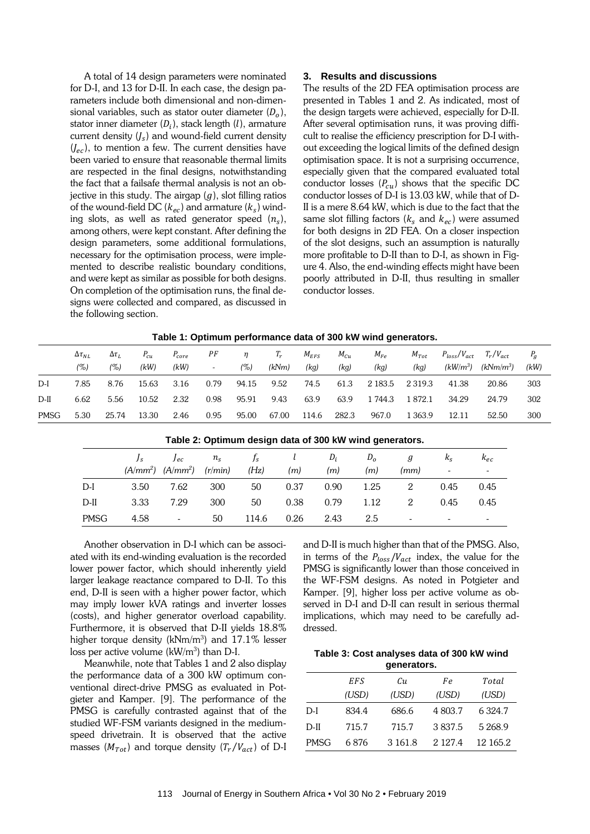A total of 14 design parameters were nominated for D-I, and 13 for D-II. In each case, the design parameters include both dimensional and non-dimensional variables, such as stator outer diameter  $(D<sub>o</sub>)$ , stator inner diameter  $(D_i)$ , stack length  $(l)$ , armature current density  $(I_s)$  and wound-field current density  $(I_{ec})$ , to mention a few. The current densities have been varied to ensure that reasonable thermal limits are respected in the final designs, notwithstanding the fact that a failsafe thermal analysis is not an objective in this study. The airgap  $(g)$ , slot filling ratios of the wound-field DC ( $k_{ec}$ ) and armature ( $k_s$ ) winding slots, as well as rated generator speed  $(n_s)$ , among others, were kept constant. After defining the design parameters, some additional formulations, necessary for the optimisation process, were implemented to describe realistic boundary conditions, and were kept as similar as possible for both designs. On completion of the optimisation runs, the final designs were collected and compared, as discussed in the following section.

#### **3. Results and discussions**

The results of the 2D FEA optimisation process are presented in Tables 1 and 2. As indicated, most of the design targets were achieved, especially for D-II. After several optimisation runs, it was proving difficult to realise the efficiency prescription for D-I without exceeding the logical limits of the defined design optimisation space. It is not a surprising occurrence, especially given that the compared evaluated total conductor losses  $(P_{cu})$  shows that the specific DC conductor losses of D-I is 13.03 kW, while that of D-II is a mere 8.64 kW, which is due to the fact that the same slot filling factors ( $k_s$  and  $k_{ec}$ ) were assumed for both designs in 2D FEA. On a closer inspection of the slot designs, such an assumption is naturally more profitable to D-II than to D-I, as shown in Figure 4. Also, the end-winding effects might have been poorly attributed in D-II, thus resulting in smaller conductor losses.

|  | Table 1: Optimum performance data of 300 kW wind generators. |
|--|--------------------------------------------------------------|
|--|--------------------------------------------------------------|

|             | $\Delta \tau_{NL}$ | $\Delta \tau_L$ | $P_{cu}$ | $P_{core}$ | РF                       | $\eta$ | $T_r$ | $M_{EFS}$ | $M_{Cu}$ | $M_{Fe}$ | $M_{Tot}$  | $P_{loss}/V_{act}$ $T_r/V_{act}$ |               | $P_a$ |
|-------------|--------------------|-----------------|----------|------------|--------------------------|--------|-------|-----------|----------|----------|------------|----------------------------------|---------------|-------|
|             | $( \% )$           | (%)             | (kW)     | (kW)       | $\overline{\phantom{a}}$ | (%)    | (kNm) | (kq)      | (kg)     | (kg)     | (kq)       | (kW/m $^3$ )                     | (k $Nm/m^3$ ) | (kW)  |
| $D-I$       | 7.85               | 8.76            | 15.63    | 3.16       | 0.79                     | 94.15  | 9.52  | 74.5      | 61.3     | 2 183.5  | 2 3 1 9 .3 | 41.38                            | 20.86         | 303   |
| $D-II$      | 6.62               | 5.56            | 10.52    | 2.32       | 0.98                     | 95.91  | 9.43  | 63.9      | 63.9     | 1 744.3  | 1 872.1    | 34.29                            | 24.79         | 302   |
| <b>PMSG</b> | 5.30               | 25.74           | 13.30    | 2.46       | 0.95                     | 95.00  | 67.00 | 114.6     | 282.3    | 967.0    | 1 363.9    | 12.11                            | 52.50         | 300   |

|             | Table 2. Optimum design data of 300 KW will generators. |                                 |             |       |      |       |              |      |                          |          |  |  |  |  |
|-------------|---------------------------------------------------------|---------------------------------|-------------|-------|------|-------|--------------|------|--------------------------|----------|--|--|--|--|
|             |                                                         | $J_{ec}$                        | $n_{\rm s}$ | $f_s$ |      | $D_i$ | $D_{\alpha}$ | g    | $k_{\rm c}$              | $k_{ec}$ |  |  |  |  |
|             |                                                         | $(A/mm^2)$ $(A/mm^2)$ $(r/min)$ |             | (Hz)  | (m)  | (m)   | (m)          | (mm) | $\overline{\phantom{a}}$ |          |  |  |  |  |
| $D-I$       | 3.50                                                    | 7.62                            | 300         | 50    | 0.37 | 0.90  | 1.25         |      | 0.45                     | 0.45     |  |  |  |  |
| $D-II$      | 3.33                                                    | 7.29                            | 300         | 50    | 0.38 | 0.79  | 1.12         | 2    | 0.45                     | 0.45     |  |  |  |  |
| <b>PMSG</b> | 4.58                                                    | $\overline{\phantom{a}}$        | 50          | 114.6 | 0.26 | 2.43  | 2.5          |      | $\overline{\phantom{a}}$ |          |  |  |  |  |

**Table 2: Optimum design data of 300 kW wind generators.**

Another observation in D-I which can be associated with its end-winding evaluation is the recorded lower power factor, which should inherently yield larger leakage reactance compared to D-II. To this end, D-II is seen with a higher power factor, which may imply lower kVA ratings and inverter losses (costs), and higher generator overload capability. Furthermore, it is observed that D-II yields 18.8% higher torque density ( $kNm/m^3$ ) and 17.1% lesser loss per active volume  $(kW/m^3)$  than D-I.

Meanwhile, note that Tables 1 and 2 also display the performance data of a 300 kW optimum conventional direct-drive PMSG as evaluated in Potgieter and Kamper. [9]. The performance of the PMSG is carefully contrasted against that of the studied WF-FSM variants designed in the mediumspeed drivetrain. It is observed that the active masses ( $M_{Tot}$ ) and torque density ( $T_r/V_{act}$ ) of D-I

and D-II is much higher than that of the PMSG. Also, in terms of the  $P_{loss}/V_{act}$  index, the value for the PMSG is significantly lower than those conceived in the WF-FSM designs. As noted in Potgieter and Kamper. [9], higher loss per active volume as observed in D-I and D-II can result in serious thermal implications, which may need to be carefully addressed.

| Table 3: Cost analyses data of 300 kW wind |
|--------------------------------------------|
| generators.                                |

|        | EFS   | Cи         | Fe      | Total      |
|--------|-------|------------|---------|------------|
|        | (USD) | (USD)      | (USD)   | (USD)      |
| D-I    | 834.4 | 686.6      | 4 803.7 | 6324.7     |
| $D-II$ | 715.7 | 715.7      | 3837.5  | 5 2 6 8 .9 |
| PMSG   | 6 876 | 3 1 6 1 .8 | 2.127.4 | 12 165.2   |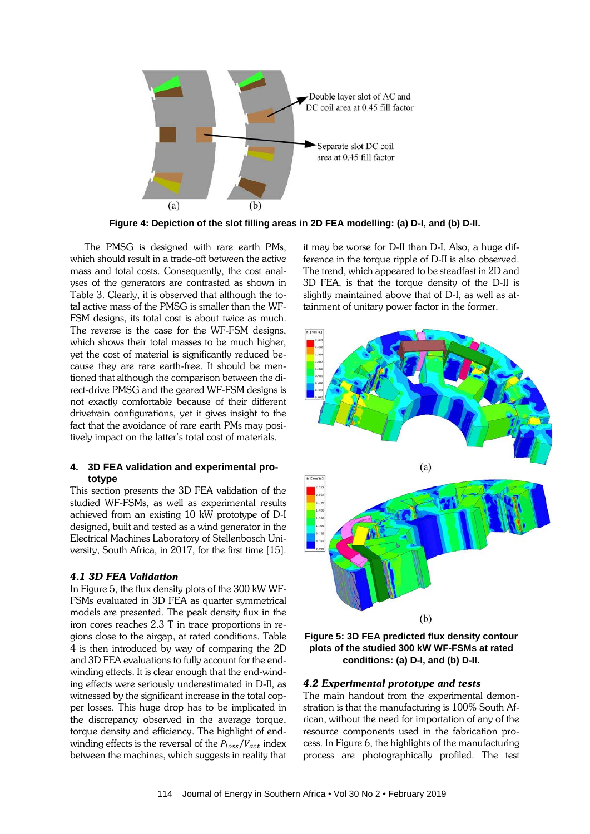

**Figure 4: Depiction of the slot filling areas in 2D FEA modelling: (a) D-I, and (b) D-II.**

The PMSG is designed with rare earth PMs, which should result in a trade-off between the active mass and total costs. Consequently, the cost analyses of the generators are contrasted as shown in Table 3. Clearly, it is observed that although the total active mass of the PMSG is smaller than the WF-FSM designs, its total cost is about twice as much. The reverse is the case for the WF-FSM designs, which shows their total masses to be much higher, yet the cost of material is significantly reduced because they are rare earth-free. It should be mentioned that although the comparison between the direct-drive PMSG and the geared WF-FSM designs is not exactly comfortable because of their different drivetrain configurations, yet it gives insight to the fact that the avoidance of rare earth PMs may positively impact on the latter's total cost of materials.

#### **4. 3D FEA validation and experimental prototype**

This section presents the 3D FEA validation of the studied WF-FSMs, as well as experimental results achieved from an existing 10 kW prototype of D-I designed, built and tested as a wind generator in the Electrical Machines Laboratory of Stellenbosch University, South Africa, in 2017, for the first time [15].

#### *4.1 3D FEA Validation*

In Figure 5, the flux density plots of the 300 kW WF-FSMs evaluated in 3D FEA as quarter symmetrical models are presented. The peak density flux in the iron cores reaches 2.3 T in trace proportions in regions close to the airgap, at rated conditions. Table 4 is then introduced by way of comparing the 2D and 3D FEA evaluations to fully account for the endwinding effects. It is clear enough that the end-winding effects were seriously underestimated in D-II, as witnessed by the significant increase in the total copper losses. This huge drop has to be implicated in the discrepancy observed in the average torque, torque density and efficiency. The highlight of endwinding effects is the reversal of the  $P_{loss}/V_{act}$  index between the machines, which suggests in reality that it may be worse for D-II than D-I. Also, a huge difference in the torque ripple of D-II is also observed. The trend, which appeared to be steadfast in 2D and 3D FEA, is that the torque density of the D-II is slightly maintained above that of D-I, as well as attainment of unitary power factor in the former.





#### *4.2 Experimental prototype and tests*

The main handout from the experimental demonstration is that the manufacturing is 100% South African, without the need for importation of any of the resource components used in the fabrication process. In Figure 6, the highlights of the manufacturing process are photographically profiled. The test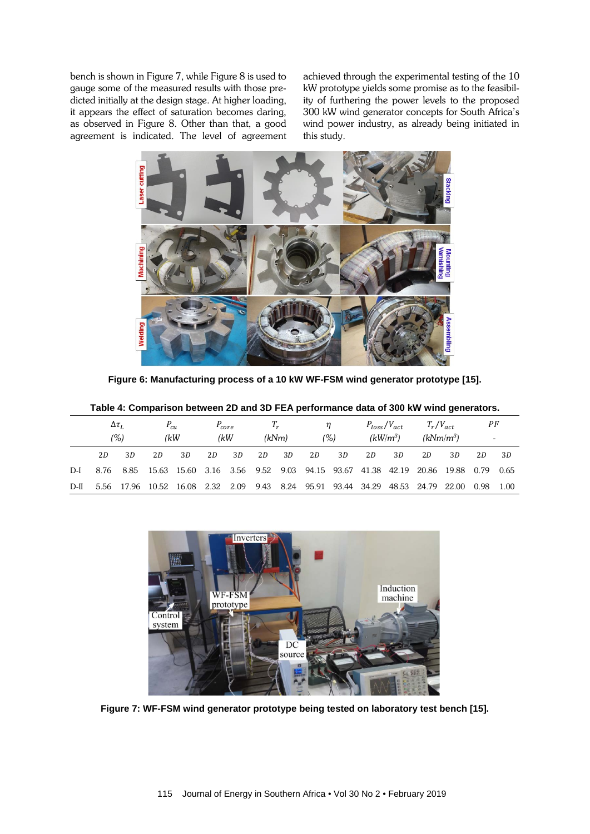bench is shown in Figure 7, while Figure 8 is used to gauge some of the measured results with those predicted initially at the design stage. At higher loading, it appears the effect of saturation becomes daring, as observed in Figure 8. Other than that, a good agreement is indicated. The level of agreement achieved through the experimental testing of the 10 kW prototype yields some promise as to the feasibility of furthering the power levels to the proposed 300 kW wind generator concepts for South Africa's wind power industry, as already being initiated in this study.



**Figure 6: Manufacturing process of a 10 kW WF-FSM wind generator prototype [15].**

|        | Table 4: Comparison between 2D and 3D FEA performance data of 300 kW wind generators. |       |                  |       |                   |      |      |                |             |          |       |                                  |       |                              |      |                                |  |
|--------|---------------------------------------------------------------------------------------|-------|------------------|-------|-------------------|------|------|----------------|-------------|----------|-------|----------------------------------|-------|------------------------------|------|--------------------------------|--|
|        | $\Delta \tau_L$<br>(%)                                                                |       | $P_{cu}$<br>(kW) |       | $P_{core}$<br>(kW |      |      | $T_r$<br>(kNm) |             | n<br>(%) |       | $P_{loss}/V_{act}$<br>$(kW/m^3)$ |       | $T_r/V_{act}$<br>$(kNm/m^3)$ |      | РF<br>$\overline{\phantom{a}}$ |  |
|        | 2D                                                                                    | 3D    | 2D               | 3D    | 2D                | 3D   | 2D   | 3D             | 2D          | 3D       | 2D    | 3D                               | 2D    | 3D                           | 2D   | 3D                             |  |
| D-I    | 8.76                                                                                  | 8.85  | 15.63            | 15.60 | 3.16              | 3.56 | 9.52 | 9.03           | 94.15 93.67 |          | 41.38 | 42.19                            | 20.86 | 19.88                        | 0.79 | 0.65                           |  |
| $D-II$ | 5.56                                                                                  | 17.96 | 10.52            | 16.08 | 2.32              | 2.09 | 9.43 | 8.24           | 95.91       | 93.44    | 34.29 | 48.53                            | 24.79 | 22.00                        | 0.98 | 1.00                           |  |

Inverters Induction WF-FSM machine prototype  $Contro$ system  $DC$ source

**Figure 7: WF-FSM wind generator prototype being tested on laboratory test bench [15].**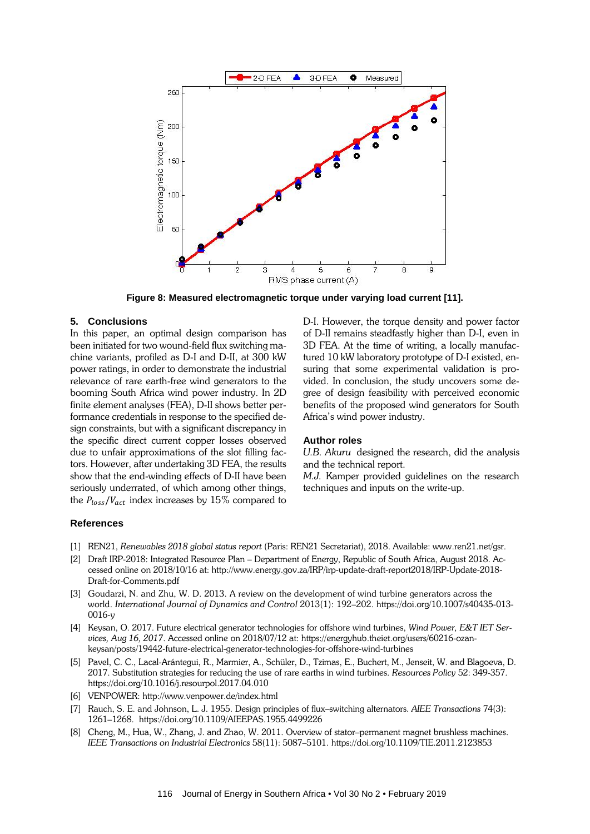

**Figure 8: Measured electromagnetic torque under varying load current [11].**

#### **5. Conclusions**

In this paper, an optimal design comparison has been initiated for two wound-field flux switching machine variants, profiled as D-I and D-II, at 300 kW power ratings, in order to demonstrate the industrial relevance of rare earth-free wind generators to the booming South Africa wind power industry. In 2D finite element analyses (FEA), D-II shows better performance credentials in response to the specified design constraints, but with a significant discrepancy in the specific direct current copper losses observed due to unfair approximations of the slot filling factors. However, after undertaking 3D FEA, the results show that the end-winding effects of D-II have been seriously underrated, of which among other things, the  $P_{loss}/V_{act}$  index increases by 15% compared to

D-I. However, the torque density and power factor of D-II remains steadfastly higher than D-I, even in 3D FEA. At the time of writing, a locally manufactured 10 kW laboratory prototype of D-I existed, ensuring that some experimental validation is provided. In conclusion, the study uncovers some degree of design feasibility with perceived economic benefits of the proposed wind generators for South Africa's wind power industry.

#### **Author roles**

*U.B. Akuru* designed the research, did the analysis and the technical report.

*M.J.* Kamper provided guidelines on the research techniques and inputs on the write-up.

#### **References**

- [1] REN21, *Renewables 2018 global status report* (Paris: REN21 Secretariat), 2018. Available[: www.ren21.net/gsr.](http://www.ren21.net/gsr)
- [2] Draft IRP-2018: Integrated Resource Plan Department of Energy, Republic of South Africa, August 2018. Accessed online on 2018/10/16 at: http://www.energy.gov.za/IRP/irp-update-draft-report2018/IRP-Update-2018- Draft-for-Comments.pdf
- [3] Goudarzi, N. and Zhu, W. D. 2013. A review on the development of wind turbine generators across the world. *International Journal of Dynamics and Control* 2013(1): 192–202. [https://doi.org/10.1007/s40435-013-](https://doi.org/10.1007/s40435-013-0016-y)  $0016 - v$
- [4] Keysan, O. 2017. Future electrical generator technologies for offshore wind turbines, *Wind Power, E&T IET Services, Aug 16, 2017*. Accessed online on 2018/07/12 at: [https://energyhub.theiet.org/users/60216-ozan](https://energyhub.theiet.org/users/60216-ozan-keysan/posts/19442-future-electrical-generator-technologies-for-offshore-wind-turbines)[keysan/posts/19442-future-electrical-generator-technologies-for-offshore-wind-turbines](https://energyhub.theiet.org/users/60216-ozan-keysan/posts/19442-future-electrical-generator-technologies-for-offshore-wind-turbines)
- [5] Pavel, C. C., Lacal-Arántegui, R., Marmier, A., Schüler, D., Tzimas, E., Buchert, M., Jenseit, W. and Blagoeva, D. 2017. Substitution strategies for reducing the use of rare earths in wind turbines. *Resources Policy* 52: 349-357. <https://doi.org/10.1016/j.resourpol.2017.04.010>
- [6] VENPOWER:<http://www.venpower.de/index.html>
- [7] Rauch, S. E. and Johnson, L. J. 1955. Design principles of flux*–*switching alternators. *AIEE Transactions* 74(3): 1261–1268.<https://doi.org/10.1109/AIEEPAS.1955.4499226>
- [8] Cheng, M., Hua, W., Zhang, J. and Zhao, W. 2011. Overview of stator*–*permanent magnet brushless machines. *IEEE Transactions on Industrial Electronics* 58(11): 5087–5101.<https://doi.org/10.1109/TIE.2011.2123853>